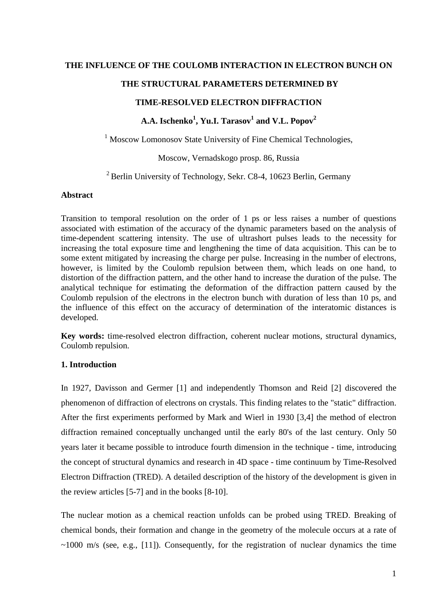## **THE INFLUENCE OF THE COULOMB INTERACTION IN ELECTRON BUNCH ON**

## **THE STRUCTURAL PARAMETERS DETERMINED BY**

## **TIME-RESOLVED ELECTRON DIFFRACTION**

# **A.A. Ischenko<sup>1</sup> , Yu.I. Tarasov1 and V.L. Popov2**

 $<sup>1</sup>$  Moscow Lomonosov State University of Fine Chemical Technologies,</sup>

Moscow, Vernadskogo prosp. 86, Russia

 $2$  Berlin University of Technology, Sekr. C8-4, 10623 Berlin, Germany

#### **Abstract**

Transition to temporal resolution on the order of 1 ps or less raises a number of questions associated with estimation of the accuracy of the dynamic parameters based on the analysis of time-dependent scattering intensity. The use of ultrashort pulses leads to the necessity for increasing the total exposure time and lengthening the time of data acquisition. This can be to some extent mitigated by increasing the charge per pulse. Increasing in the number of electrons, however, is limited by the Coulomb repulsion between them, which leads on one hand, to distortion of the diffraction pattern, and the other hand to increase the duration of the pulse. The analytical technique for estimating the deformation of the diffraction pattern caused by the Coulomb repulsion of the electrons in the electron bunch with duration of less than 10 ps, and the influence of this effect on the accuracy of determination of the interatomic distances is developed.

**Key words:** time-resolved electron diffraction, coherent nuclear motions, structural dynamics, Coulomb repulsion.

## **1. Introduction**

In 1927, Davisson and Germer [1] and independently Thomson and Reid [2] discovered the phenomenon of diffraction of electrons on crystals. This finding relates to the "static" diffraction. After the first experiments performed by Mark and Wierl in 1930 [3,4] the method of electron diffraction remained conceptually unchanged until the early 80's of the last century. Only 50 years later it became possible to introduce fourth dimension in the technique - time, introducing the concept of structural dynamics and research in 4D space - time continuum by Time-Resolved Electron Diffraction (TRED). A detailed description of the history of the development is given in the review articles [5-7] and in the books [8-10].

The nuclear motion as a chemical reaction unfolds can be probed using TRED. Breaking of chemical bonds, their formation and change in the geometry of the molecule occurs at a rate of  $\sim$ 1000 m/s (see, e.g., [11]). Consequently, for the registration of nuclear dynamics the time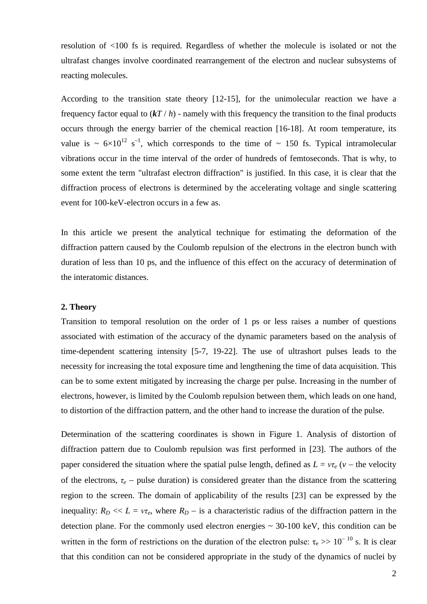resolution of <100 fs is required. Regardless of whether the molecule is isolated or not the ultrafast changes involve coordinated rearrangement of the electron and nuclear subsystems of reacting molecules.

According to the transition state theory [12-15], for the unimolecular reaction we have a frequency factor equal to  $(kT/h)$  - namely with this frequency the transition to the final products occurs through the energy barrier of the chemical reaction [16-18]. At room temperature, its value is  $\sim 6 \times 10^{12}$  s<sup>-1</sup>, which corresponds to the time of  $\sim 150$  fs. Typical intramolecular vibrations occur in the time interval of the order of hundreds of femtoseconds. That is why, to some extent the term "ultrafast electron diffraction" is justified. In this case, it is clear that the diffraction process of electrons is determined by the accelerating voltage and single scattering event for 100-keV-electron occurs in a few as.

In this article we present the analytical technique for estimating the deformation of the diffraction pattern caused by the Coulomb repulsion of the electrons in the electron bunch with duration of less than 10 ps, and the influence of this effect on the accuracy of determination of the interatomic distances.

#### **2. Theory**

Transition to temporal resolution on the order of 1 ps or less raises a number of questions associated with estimation of the accuracy of the dynamic parameters based on the analysis of time-dependent scattering intensity [5-7, 19-22]. The use of ultrashort pulses leads to the necessity for increasing the total exposure time and lengthening the time of data acquisition. This can be to some extent mitigated by increasing the charge per pulse. Increasing in the number of electrons, however, is limited by the Coulomb repulsion between them, which leads on one hand, to distortion of the diffraction pattern, and the other hand to increase the duration of the pulse.

Determination of the scattering coordinates is shown in Figure 1. Analysis of distortion of diffraction pattern due to Coulomb repulsion was first performed in [23]. The authors of the paper considered the situation where the spatial pulse length, defined as  $L = v\tau_e$  ( $v$  – the velocity of the electrons,  $\tau_e$  – pulse duration) is considered greater than the distance from the scattering region to the screen. The domain of applicability of the results [23] can be expressed by the inequality:  $R_D \ll L = v\tau_e$ , where  $R_D$  – is a characteristic radius of the diffraction pattern in the detection plane. For the commonly used electron energies  $\sim$  30-100 keV, this condition can be written in the form of restrictions on the duration of the electron pulse:  $\tau_e \gg 10^{-10}$  s. It is clear that this condition can not be considered appropriate in the study of the dynamics of nuclei by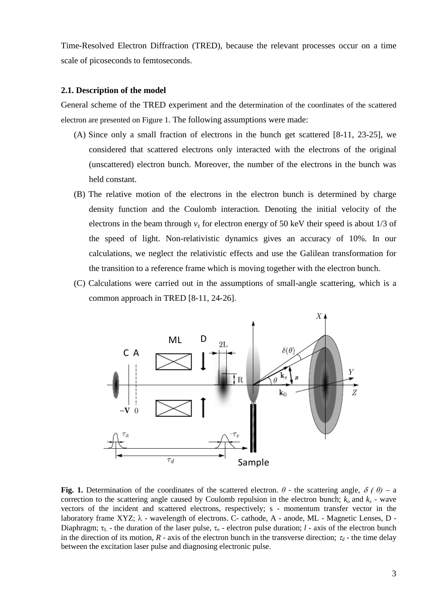Time-Resolved Electron Diffraction (TRED), because the relevant processes occur on a time scale of picoseconds to femtoseconds.

#### **2.1. Description of the model**

General scheme of the TRED experiment and the determination of the coordinates of the scattered electron are presented on Figure 1. The following assumptions were made:

- (A) Since only a small fraction of electrons in the bunch get scattered [8-11, 23-25], we considered that scattered electrons only interacted with the electrons of the original (unscattered) electron bunch. Moreover, the number of the electrons in the bunch was held constant.
- (B) The relative motion of the electrons in the electron bunch is determined by charge density function and the Coulomb interaction. Denoting the initial velocity of the electrons in the beam through  $v<sub>z</sub>$  for electron energy of 50 keV their speed is about 1/3 of the speed of light. Non-relativistic dynamics gives an accuracy of 10%. In our calculations, we neglect the relativistic effects and use the Galilean transformation for the transition to a reference frame which is moving together with the electron bunch.
- (C) Calculations were carried out in the assumptions of small-angle scattering, which is a common approach in TRED [8-11, 24-26].



**Fig.** 1. Determination of the coordinates of the scattered electron.  $\theta$  - the scattering angle,  $\delta(\theta)$  – a correction to the scattering angle caused by Coulomb repulsion in the electron bunch;  $k_0$  and  $k_s$  - wave vectors of the incident and scattered electrons, respectively; s - momentum transfer vector in the laboratory frame XYZ; λ - wavelength of electrons. C- cathode, A - anode, ML - Magnetic Lenses, D - Diaphragm;  $\tau_L$  - the duration of the laser pulse,  $\tau_e$  - electron pulse duration; *l* - axis of the electron bunch in the direction of its motion,  $R$  - axis of the electron bunch in the transverse direction;  $\tau_d$  - the time delay between the excitation laser pulse and diagnosing electronic pulse.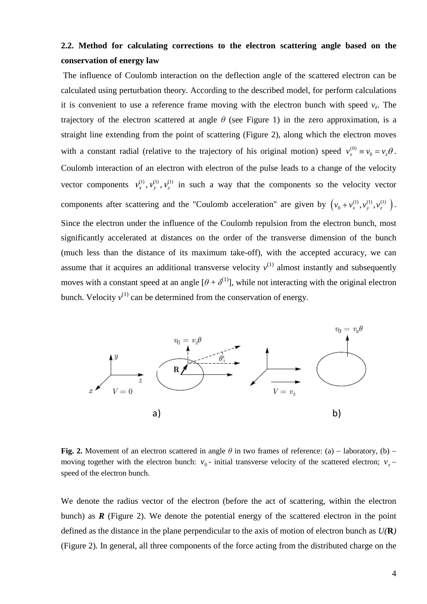# **2.2. Method for calculating corrections to the electron scattering angle based on the conservation of energy law**

The influence of Coulomb interaction on the deflection angle of the scattered electron can be calculated using perturbation theory. According to the described model, for perform calculations it is convenient to use a reference frame moving with the electron bunch with speed  $v_z$ . The trajectory of the electron scattered at angle  $\theta$  (see Figure 1) in the zero approximation, is a straight line extending from the point of scattering (Figure 2), along which the electron moves with a constant radial (relative to the trajectory of his original motion) speed  $v_x^{(0)} \equiv v_0 = v_z \theta$ . Coulomb interaction of an electron with electron of the pulse leads to a change of the velocity vector components  $v_x^{(1)}$ ,  $v_y^{(1)}$ ,  $v_y^{(1)}$  in such a way that the components so the velocity vector components after scattering and the "Coulomb acceleration" are given by  $(v_0 + v_x^{(1)}, v_y^{(1)}, v_z^{(1)})$ . Since the electron under the influence of the Coulomb repulsion from the electron bunch, most significantly accelerated at distances on the order of the transverse dimension of the bunch (much less than the distance of its maximum take-off), with the accepted accuracy, we can assume that it acquires an additional transverse velocity  $v^{(1)}$  almost instantly and subsequently moves with a constant speed at an angle  $[\theta + \delta^{(1)}]$ , while not interacting with the original electron bunch. Velocity  $v^{(1)}$  can be determined from the conservation of energy.



**Fig.** 2. Movement of an electron scattered in angle  $\theta$  in two frames of reference: (a) – laboratory, (b) – moving together with the electron bunch:  $v_0$ - initial transverse velocity of the scattered electron;  $v_7$  − speed of the electron bunch.

We denote the radius vector of the electron (before the act of scattering, within the electron bunch) as  $\vec{R}$  (Figure 2). We denote the potential energy of the scattered electron in the point defined as the distance in the plane perpendicular to the axis of motion of electron bunch as *U(***R***)* (Figure 2). In general, all three components of the force acting from the distributed charge on the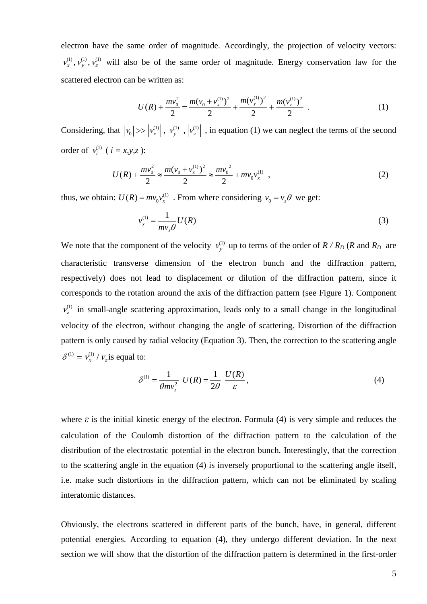electron have the same order of magnitude. Accordingly, the projection of velocity vectors:  $v_x^{(1)}$ ,  $v_y^{(1)}$ ,  $v_z^{(1)}$  will also be of the same order of magnitude. Energy conservation law for the scattered electron can be written as:

$$
U(R) + \frac{mv_0^2}{2} = \frac{m(v_0 + v_x^{(1)})^2}{2} + \frac{m(v_y^{(1)})^2}{2} + \frac{m(v_z^{(1)})^2}{2} \tag{1}
$$

Considering, that  $|v_0| \gg |v_x^{(1)}|$ ,  $|v_y^{(1)}|$ ,  $|v_z^{(1)}|$ , in equation (1) we can neglect the terms of the second order of  $v_i^{(1)}$  (  $i = x, y, z$  ):

$$
U(R) + \frac{mv_0^2}{2} \approx \frac{m(v_0 + v_x^{(1)})^2}{2} \approx \frac{mv_0^2}{2} + mv_0 v_x^{(1)} \tag{2}
$$

thus, we obtain:  $U(R) = mv_0 v_x^{(1)}$ . From where considering  $v_0 = v_z \theta$  we get:

$$
v_x^{(1)} = \frac{1}{m v_z \theta} U(R)
$$
 (3)

We note that the component of the velocity  $v_y^{(1)}$  up to terms of the order of  $R/R_D$  (*R* and  $R_D$  are characteristic transverse dimension of the electron bunch and the diffraction pattern, respectively) does not lead to displacement or dilution of the diffraction pattern, since it corresponds to the rotation around the axis of the diffraction pattern (see Figure 1). Component  $v_z^{(1)}$  in small-angle scattering approximation, leads only to a small change in the longitudinal velocity of the electron, without changing the angle of scattering. Distortion of the diffraction pattern is only caused by radial velocity (Equation 3). Then, the correction to the scattering angle  $\delta^{(1)} = v_r^{(1)} / v_s$  is equal to:

$$
\delta^{(1)} = \frac{1}{\theta m v_z^2} U(R) = \frac{1}{2\theta} \frac{U(R)}{\varepsilon},
$$
\n(4)

where  $\varepsilon$  is the initial kinetic energy of the electron. Formula (4) is very simple and reduces the calculation of the Coulomb distortion of the diffraction pattern to the calculation of the distribution of the electrostatic potential in the electron bunch. Interestingly, that the correction to the scattering angle in the equation (4) is inversely proportional to the scattering angle itself, i.e. make such distortions in the diffraction pattern, which can not be eliminated by scaling interatomic distances.

Obviously, the electrons scattered in different parts of the bunch, have, in general, different potential energies. According to equation (4), they undergo different deviation. In the next section we will show that the distortion of the diffraction pattern is determined in the first-order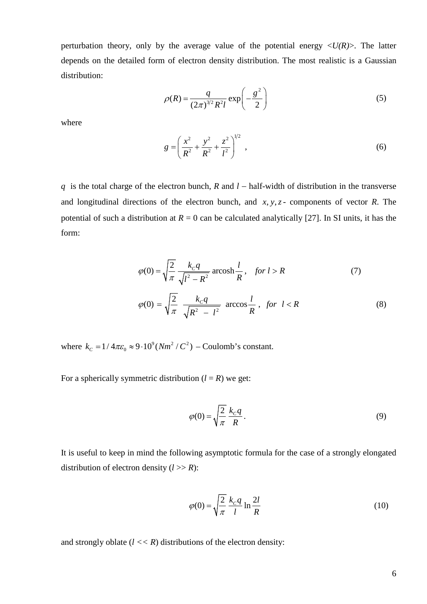perturbation theory, only by the average value of the potential energy  $\langle U(R) \rangle$ . The latter depends on the detailed form of electron density distribution. The most realistic is a Gaussian distribution:

$$
\rho(R) = \frac{q}{(2\pi)^{3/2} R^2 l} \exp\left(-\frac{g^2}{2}\right)
$$
 (5)

where

$$
g = \left(\frac{x^2}{R^2} + \frac{y^2}{R^2} + \frac{z^2}{l^2}\right)^{1/2},
$$
\n(6)

*q* is the total charge of the electron bunch, *R* and *l* − half-width of distribution in the transverse and longitudinal directions of the electron bunch, and  $x, y, z$  - components of vector  $R$ . The potential of such a distribution at  $R = 0$  can be calculated analytically [27]. In SI units, it has the form:

$$
\varphi(0) = \sqrt{\frac{2}{\pi}} \frac{k_c q}{\sqrt{l^2 - R^2}} \operatorname{arcosh} \frac{l}{R}, \quad \text{for } l > R \tag{7}
$$

$$
\varphi(0) = \sqrt{\frac{2}{\pi}} \frac{k_c q}{\sqrt{R^2 - l^2}} \arccos \frac{l}{R}, \text{ for } l < R \tag{8}
$$

where  $k_c = 1/4\pi\varepsilon_0 \approx 9.10^9 (Nm^2/C^2)$  – Coulomb's constant.

For a spherically symmetric distribution  $(l = R)$  we get:

$$
\varphi(0) = \sqrt{\frac{2}{\pi}} \frac{k_c q}{R}.
$$
\n(9)

It is useful to keep in mind the following asymptotic formula for the case of a strongly elongated distribution of electron density  $(l \gg R)$ :

$$
\varphi(0) = \sqrt{\frac{2}{\pi}} \frac{k_c q}{l} \ln \frac{2l}{R}
$$
\n(10)

and strongly oblate  $(l \lt k)$  distributions of the electron density: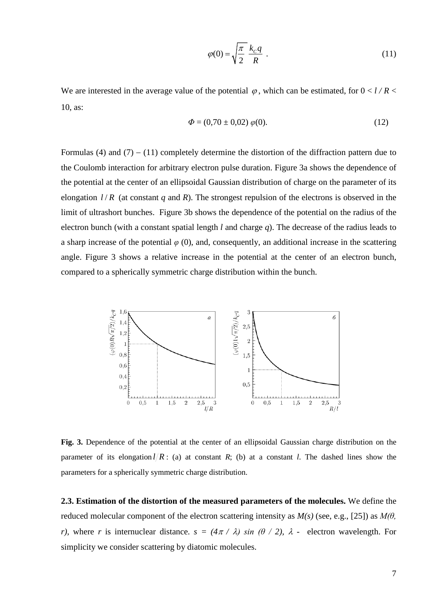$$
\varphi(0) = \sqrt{\frac{\pi}{2}} \frac{k_c q}{R} \tag{11}
$$

We are interested in the average value of the potential  $\varphi$ , which can be estimated, for  $0 < l/R <$ 10, as:

$$
\Phi = (0.70 \pm 0.02) \; \varphi(0). \tag{12}
$$

Formulas (4) and  $(7) - (11)$  completely determine the distortion of the diffraction pattern due to the Coulomb interaction for arbitrary electron pulse duration. Figure 3a shows the dependence of the potential at the center of an ellipsoidal Gaussian distribution of charge on the parameter of its elongation  $l/R$  (at constant *q* and *R*). The strongest repulsion of the electrons is observed in the limit of ultrashort bunches. Figure 3b shows the dependence of the potential on the radius of the electron bunch (with a constant spatial length *l* and charge *q*). The decrease of the radius leads to a sharp increase of the potential  $\varphi$  (0), and, consequently, an additional increase in the scattering angle. Figure 3 shows a relative increase in the potential at the center of an electron bunch, compared to a spherically symmetric charge distribution within the bunch.



**Fig. 3.** Dependence of the potential at the center of an ellipsoidal Gaussian charge distribution on the parameter of its elongation  $l/R$ : (a) at constant *R*; (b) at a constant *l*. The dashed lines show the parameters for a spherically symmetric charge distribution.

**2.3. Estimation of the distortion of the measured parameters of the molecules.** We define the reduced molecular component of the electron scattering intensity as *M(s)* (see, e.g., [25]) as *M(θ, r*), where *r* is internuclear distance.  $s = (4\pi / \lambda) \sin (\theta / 2)$ ,  $\lambda$  - electron wavelength. For simplicity we consider scattering by diatomic molecules.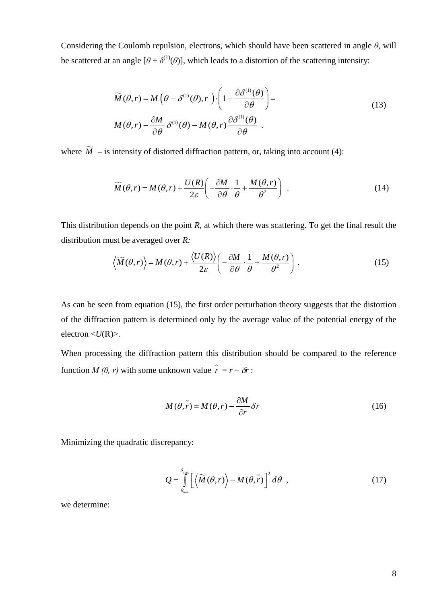Considering the Coulomb repulsion, electrons, which should have been scattered in angle *θ*, will be scattered at an angle  $[\theta + \delta^{(1)}(\theta)]$ , which leads to a distortion of the scattering intensity:

$$
\widetilde{M}(\theta, r) = M\left(\theta - \delta^{(1)}(\theta), r\right) \cdot \left(1 - \frac{\partial \delta^{(1)}(\theta)}{\partial \theta}\right) =
$$
\n
$$
M(\theta, r) - \frac{\partial M}{\partial \theta} \delta^{(1)}(\theta) - M(\theta, r) \frac{\partial \delta^{(1)}(\theta)}{\partial \theta}.
$$
\n(13)

where  $\widetilde{M}$  – is intensity of distorted diffraction pattern, or, taking into account (4):

$$
\widetilde{M}(\theta, r) = M(\theta, r) + \frac{U(R)}{2\varepsilon} \left( -\frac{\partial M}{\partial \theta} \cdot \frac{1}{\theta} + \frac{M(\theta, r)}{\theta^2} \right) \tag{14}
$$

This distribution depends on the point *R*, at which there was scattering. To get the final result the distribution must be averaged over *R:*

$$
\left\langle \widetilde{M}(\theta,r) \right\rangle = M(\theta,r) + \frac{\left\langle U(R) \right\rangle}{2\varepsilon} \left( -\frac{\partial M}{\partial \theta} \cdot \frac{1}{\theta} + \frac{M(\theta,r)}{\theta^2} \right). \tag{15}
$$

As can be seen from equation (15), the first order perturbation theory suggests that the distortion of the diffraction pattern is determined only by the average value of the potential energy of the electron <*U*(R)>.

When processing the diffraction pattern this distribution should be compared to the reference function *M* ( $\theta$ , *r*) with some unknown value  $\tilde{r} = r - \delta r$ :

$$
M(\theta, \tilde{r}) = M(\theta, r) - \frac{\partial M}{\partial r} \delta r
$$
 (16)

Minimizing the quadratic discrepancy:

$$
Q = \int_{\theta_{\min}}^{\theta_{\max}} \left[ \left\langle \widetilde{M}(\theta, r) \right\rangle - M(\theta, \widetilde{r}) \right]^2 d\theta , \qquad (17)
$$

we determine: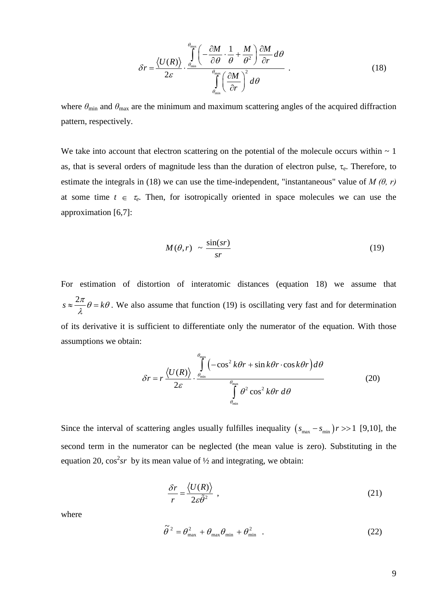$$
\delta r = \frac{\langle U(R) \rangle}{2\varepsilon} \cdot \frac{\int_{\theta_{\text{min}}}^{\theta_{\text{max}}} \left( -\frac{\partial M}{\partial \theta} \cdot \frac{1}{\theta} + \frac{M}{\theta^2} \right) \frac{\partial M}{\partial r} d\theta}{\int_{\theta_{\text{min}}}^{\theta_{\text{max}}} \left( \frac{\partial M}{\partial r} \right)^2 d\theta} \tag{18}
$$

where  $\theta_{\text{min}}$  and  $\theta_{\text{max}}$  are the minimum and maximum scattering angles of the acquired diffraction pattern, respectively.

We take into account that electron scattering on the potential of the molecule occurs within  $\sim 1$ as, that is several orders of magnitude less than the duration of electron pulse,  $\tau_e$ . Therefore, to estimate the integrals in (18) we can use the time-independent, "instantaneous" value of *M (θ, r)* at some time  $t \in \tau_e$ . Then, for isotropically oriented in space molecules we can use the approximation [6,7]:

$$
M(\theta, r) \sim \frac{\sin(sr)}{sr} \tag{19}
$$

For estimation of distortion of interatomic distances (equation 18) we assume that  $s \approx \frac{2\pi}{\lambda} \theta = k\theta$ . We also assume that function (19) is oscillating very fast and for determination of its derivative it is sufficient to differentiate only the numerator of the equation. With those assumptions we obtain:

$$
\delta r = r \frac{\langle U(R) \rangle}{2\varepsilon} \cdot \frac{\int_{\theta_{\text{min}}^{\text{max}}}^{\theta_{\text{max}}^{\text{max}}} \left( -\cos^2 k\theta r + \sin k\theta r \cdot \cos k\theta r \right) d\theta}{\int_{\theta_{\text{min}}}^{\theta_{\text{max}}} \theta^2 \cos^2 k\theta r \, d\theta} \tag{20}
$$

Since the interval of scattering angles usually fulfilles inequality  $(s_{\text{max}} - s_{\text{min}})r >> 1$  [9,10], the second term in the numerator can be neglected (the mean value is zero). Substituting in the equation 20,  $cos<sup>2</sup>sr$  by its mean value of  $\frac{1}{2}$  and integrating, we obtain:

$$
\frac{\delta r}{r} = \frac{\langle U(R) \rangle}{2\varepsilon \tilde{\theta}^2} \tag{21}
$$

where

$$
\tilde{\theta}^2 = \theta_{\text{max}}^2 + \theta_{\text{max}} \theta_{\text{min}} + \theta_{\text{min}}^2 \quad . \tag{22}
$$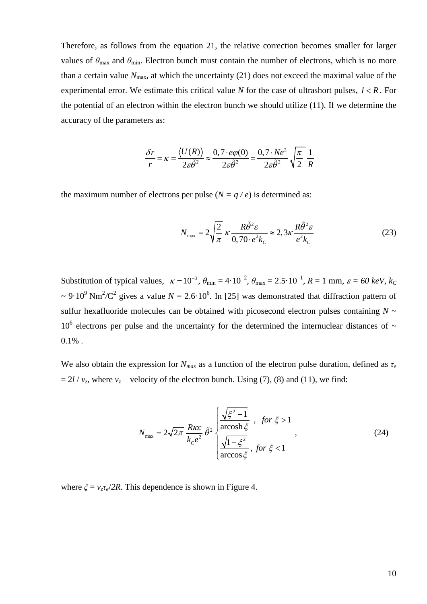Therefore, as follows from the equation 21, the relative correction becomes smaller for larger values of  $\theta_{\text{max}}$  and  $\theta_{\text{min}}$ . Electron bunch must contain the number of electrons, which is no more than a certain value  $N_{\text{max}}$ , at which the uncertainty (21) does not exceed the maximal value of the experimental error. We estimate this critical value *N* for the case of ultrashort pulses,  $l < R$ . For the potential of an electron within the electron bunch we should utilize (11). If we determine the accuracy of the parameters as:

$$
\frac{\delta r}{r} = \kappa = \frac{\langle U(R) \rangle}{2\varepsilon \tilde{\theta}^2} \approx \frac{0, 7 \cdot e\varphi(0)}{2\varepsilon \tilde{\theta}^2} = \frac{0, 7 \cdot Ne^2}{2\varepsilon \tilde{\theta}^2} \sqrt{\frac{\pi}{2}} \frac{1}{R}
$$

the maximum number of electrons per pulse  $(N = q / e)$  is determined as:

$$
N_{\text{max}} = 2\sqrt{\frac{2}{\pi}} \,\kappa \frac{R\tilde{\theta}^2 \varepsilon}{0,70 \cdot e^2 k_c} \approx 2,3\kappa \frac{R\tilde{\theta}^2 \varepsilon}{e^2 k_c}
$$
 (23)

Substitution of typical values,  $\kappa = 10^{-3}$ ,  $\theta_{\text{min}} = 4 \cdot 10^{-2}$ ,  $\theta_{\text{max}} = 2.5 \cdot 10^{-1}$ ,  $R = 1$  mm,  $\varepsilon = 60$  keV, k<sub>C</sub>  $\sim 9.10^9$  Nm<sup>2</sup>/C<sup>2</sup> gives a value  $N = 2.6 \cdot 10^6$ . In [25] was demonstrated that diffraction pattern of sulfur hexafluoride molecules can be obtained with picosecond electron pulses containing  $N \sim$  $10^6$  electrons per pulse and the uncertainty for the determined the internuclear distances of  $\sim$  $0.1\%$ .

We also obtain the expression for  $N_{max}$  as a function of the electron pulse duration, defined as  $\tau_e$  $= 2l / v_z$ , where  $v_z$  – velocity of the electron bunch. Using (7), (8) and (11), we find:

$$
N_{\max} = 2\sqrt{2\pi} \frac{R\kappa\varepsilon}{k_c e^2} \tilde{\theta}^2 \begin{cases} \frac{\sqrt{\xi^2 - 1}}{\arccos\hbar \xi} , & \text{for } \xi > 1\\ \frac{\sqrt{1 - \xi^2}}{\arccos\xi} , & \text{for } \xi < 1 \end{cases}
$$
(24)

where  $\zeta = v_z \tau_e / 2R$ . This dependence is shown in Figure 4.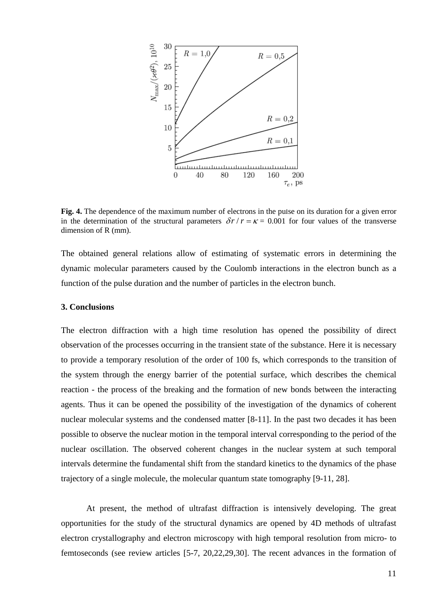

**Fig. 4.** The dependence of the maximum number of electrons in the pulse on its duration for a given error in the determination of the structural parameters  $\delta r/r = \kappa = 0.001$  for four values of the transverse dimension of R (mm).

The obtained general relations allow of estimating of systematic errors in determining the dynamic molecular parameters caused by the Coulomb interactions in the electron bunch as a function of the pulse duration and the number of particles in the electron bunch.

#### **3. Conclusions**

The electron diffraction with a high time resolution has opened the possibility of direct observation of the processes occurring in the transient state of the substance. Here it is necessary to provide a temporary resolution of the order of 100 fs, which corresponds to the transition of the system through the energy barrier of the potential surface, which describes the chemical reaction - the process of the breaking and the formation of new bonds between the interacting agents. Thus it can be opened the possibility of the investigation of the dynamics of coherent nuclear molecular systems and the condensed matter [8-11]. In the past two decades it has been possible to observe the nuclear motion in the temporal interval corresponding to the period of the nuclear oscillation. The observed coherent changes in the nuclear system at such temporal intervals determine the fundamental shift from the standard kinetics to the dynamics of the phase trajectory of a single molecule, the molecular quantum state tomography [9-11, 28].

At present, the method of ultrafast diffraction is intensively developing. The great opportunities for the study of the structural dynamics are opened by 4D methods of ultrafast electron crystallography and electron microscopy with high temporal resolution from micro- to femtoseconds (see review articles [5-7, 20,22,29,30]. The recent advances in the formation of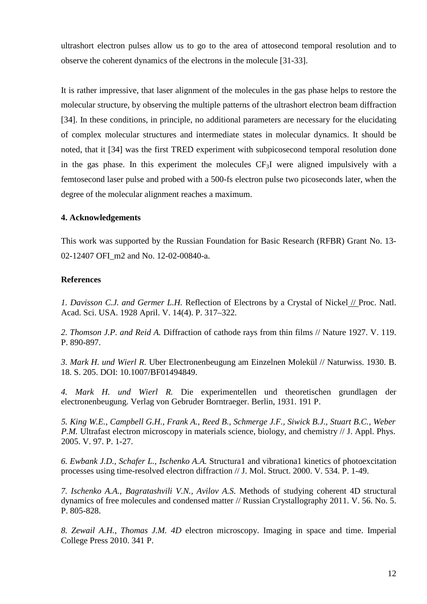ultrashort electron pulses allow us to go to the area of attosecond temporal resolution and to observe the coherent dynamics of the electrons in the molecule [31-33].

It is rather impressive, that laser alignment of the molecules in the gas phase helps to restore the molecular structure, by observing the multiple patterns of the ultrashort electron beam diffraction [34]. In these conditions, in principle, no additional parameters are necessary for the elucidating of complex molecular structures and intermediate states in molecular dynamics. It should be noted, that it [34] was the first TRED experiment with subpicosecond temporal resolution done in the gas phase. In this experiment the molecules  $CF_3I$  were aligned impulsively with a femtosecond laser pulse and probed with a 500-fs electron pulse two picoseconds later, when the degree of the molecular alignment reaches a maximum.

## **4. Acknowledgements**

This work was supported by the Russian Foundation for Basic Research (RFBR) Grant No. 13- 02-12407 OFI\_m2 and No. 12-02-00840-а.

## **References**

*1. Davisson C.J. and Germer L.H.* Reflection of Electrons by a Crystal of Nickel // Proc. Natl. Acad. Sci. USA. 1928 April. V. 14(4). P. 317–322.

*2. Thomson J.P. and Reid A.* Diffraction of cathode rays from thin films // Nature 1927. V. 119. P. 890-897.

*3. Mark H. und Wierl R.* Uber Electronenbeugung am Einzelnen Molekül // Naturwiss. 1930. B. 18. S. 205. DOI: 10.1007/BF01494849.

*4. Mark H. und Wierl R.* Die experimentellen und theoretischen grundlagen der electronenbeugung. Verlag von Gebruder Borntraeger. Berlin, 1931. 191 P.

*5. King W.E., Campbell G.H., Frank A., Reed B., Schmerge J.F., Siwick B.J., Stuart B.C., Weber P.M.* Ultrafast electron microscopy in materials science, biology, and chemistry // J. Appl. Phys. 2005. V. 97. P. 1-27.

*6. Ewbank J.D., Schafer L., Ischenko A.A.* Structura1 and vibrationa1 kinetics of photoexcitation processes using time-resolved electron diffraction // J. Mol. Struct. 2000. V. 534. P. 1-49.

*7. Ischenko A.A., Bagratashvili V.N., Avilov A.S.* Methods of studying coherent 4D structural dynamics of free molecules and condensed matter // Russian Crystallography 2011. V. 56. No. 5. P. 805-828.

*8. Zewail A.H., Thomas J.M. 4D* electron microscopy. Imaging in space and time. Imperial College Press 2010. 341 P.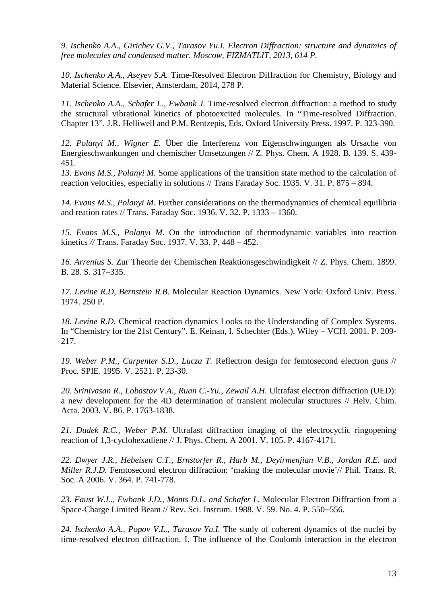*9. Ischenko A.A., Girichev G.V., Tarasov Yu.I. Electron Diffraction: structure and dynamics of free molecules and condensed matter. Moscow, FIZMATLIT, 2013, 614 P.*

*10. Ischenko A.A., Aseyev S.A.* Time-Resolved Electron Diffraction for Chemistry, Biology and Material Science. Elsevier, Amsterdam, 2014, 278 P.

*11. Ischenko A.A., Schafer L., Ewbank J.* Time-resolved electron diffraction: a method to study the structural vibrational kinetics of photoexcited molecules. In "Time-resolved Diffraction. Chapter 13". J.R. Helliwell and P.M. Rentzepis, Eds. Oxford University Press. 1997. P. 323-390.

*12. Polanyi M., Wigner E.* Über die Interferenz von Eigenschwingungen als Ursache von Energieschwankungen und chemischer Umsetzungen // Z. Phys. Chem. A 1928. B. 139. S. 439- 451.

*13. Evans M.S., Polanyi M.* Some applications of the transition state method to the calculation of reaction velocities, especially in solutions // Trans Faraday Soc. 1935. V. 31. P. 875 – 894.

*14. Evans M.S., Polanyi M.* Further considerations on the thermodynamics of chemical equilibria and reation rates // Trans. Faraday Soc. 1936. V. 32. P. 1333 – 1360.

*15. Evans M.S., Polanyi M.* On the introduction of thermodynamic variables into reaction kinetics *//* Trans. Faraday Soc. 1937. V. 33. P. 448 – 452.

*16. Arrenius S.* Zur Theorie der Chemischen Reaktionsgeschwindigkeit // Z. Phys. Chem. 1899. B. 28. S. 317–335.

*17. Levine R.D, Bernstein R.B.* Molecular Reaction Dynamics. New York: Oxford Univ. Press. 1974. 250 P.

*18. Levine R.D.* Chemical reaction dynamics Looks to the Understanding of Complex Systems. In "Chemistry for the 21st Century". E. Keinan, I. Schechter (Eds.). Wiley – VCH. 2001. P. 209- 217.

*19. Weber P.M., Carpenter S.D., Lucza T.* Reflectron design for femtosecond electron guns // Proc. SPIE. 1995. V. 2521. P. 23-30.

*20. Srinivasan R., Lobastov V.A., Ruan C.-Yu., Zewail A.H.* Ultrafast electron diffraction (UED): a new development for the 4D determination of transient molecular structures // Helv. Chim. Acta. 2003. V. 86. P. 1763-1838.

*21. Dudek R.C., Weber P.M.* Ultrafast diffraction imaging of the electrocyclic ringopening reaction of 1,3-cyclohexadiene // J. Phys. Chem. A 2001. V. 105. P. 4167-4171.

*22. Dwyer J.R., Hebeisen C.T., Ernstorfer R., Harb M., Deyirmenjian V.B., Jordan R.E. and Miller R.J.D.* Femtosecond electron diffraction: 'making the molecular movie'// Phil. Trans. R. Soc. A 2006. V. 364. P. 741-778.

*23. Faust W.L., Ewbank J.D., Monts D.L. and Schafer L.* Molecular Electron Diffraction from a Space-Charge Limited Beam // Rev. Sci. Instrum. 1988. V. 59. No. 4. P. 550−556.

*24. Ischenko A.A., Popov V.L., Tarasov Yu.I.* The study of coherent dynamics of the nuclei by time-resolved electron diffraction. I. The influence of the Coulomb interaction in the electron